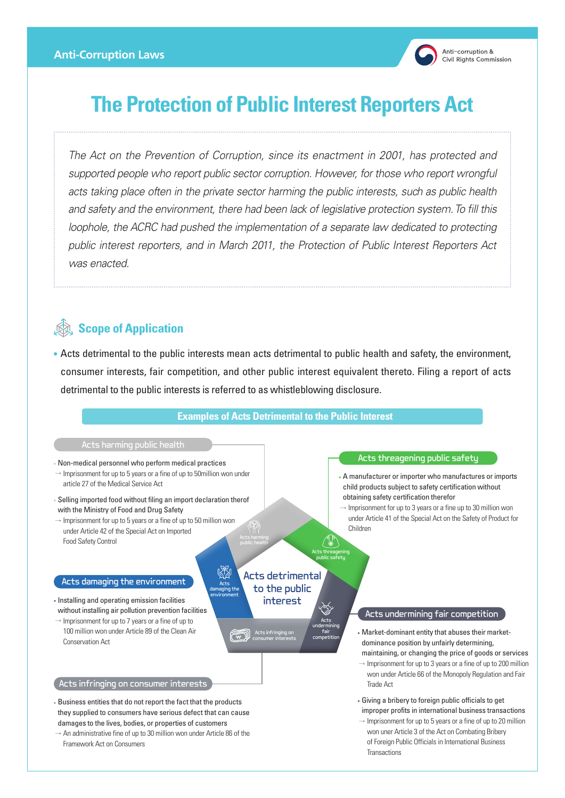

# **The Protection of Public Interest Reporters Act**

*The Act on the Prevention of Corruption, since its enactment in 2001, has protected and supported people who report public sector corruption. However, for those who report wrongful acts taking place often in the private sector harming the public interests, such as public health and safety and the environment, there had been lack of legislative protection system. To fill this loophole, the ACRC had pushed the implementation of a separate law dedicated to protecting public interest reporters, and in March 2011, the Protection of Public Interest Reporters Act was enacted.*

## **Scope of Application**

 Acts detrimental to the public interests mean acts detrimental to public health and safety, the environment, consumer interests, fair competition, and other public interest equivalent thereto. Filing a report of acts detrimental to the public interests is referred to as whistleblowing disclosure.

#### **Examples of Acts Detrimental to the Public Interest**